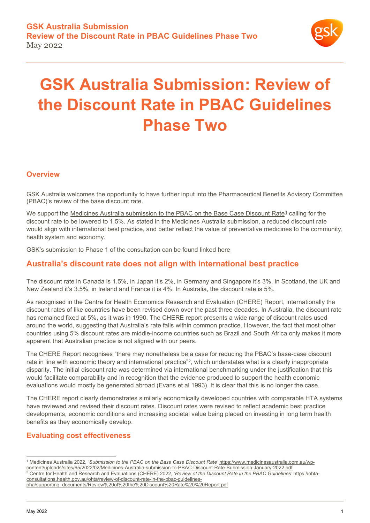

# **GSK Australia Submission: Review of the Discount Rate in PBAC Guidelines Phase Two**

#### **Overview**

GSK Australia welcomes the opportunity to have further input into the Pharmaceutical Benefits Advisory Committee (PBAC)'s review of the base discount rate.

We support the [Medicines Australia submission to the PBAC on the Base Case Discount Rate](https://www.medicinesaustralia.com.au/wp-content/uploads/sites/65/2022/02/Medicines-Australia-submission-to-PBAC-Discount-Rate-Submission-January-2022.pdf)<sup>[1](#page-0-0)</sup> calling for the discount rate to be lowered to 1.5%. As stated in the Medicines Australia submission, a reduced discount rate would align with international best practice, and better reflect the value of preventative medicines to the community, health system and economy.

GSK's submission to Phase 1 of the consultation can be found linked [here](https://au.gsk.com/media/6483/gsk-australia-submission-review-of-the-discount-rate-in-the-pbac-guidelines.pdf)

## **Australia's discount rate does not align with international best practice**

The discount rate in Canada is 1.5%, in Japan it's 2%, in Germany and Singapore it's 3%, in Scotland, the UK and New Zealand it's 3.5%, in Ireland and France it is 4%. In Australia, the discount rate is 5%.

As recognised in the Centre for Health Economics Research and Evaluation (CHERE) Report, internationally the discount rates of like countries have been revised down over the past three decades. In Australia, the discount rate has remained fixed at 5%, as it was in 1990. The CHERE report presents a wide range of discount rates used around the world, suggesting that Australia's rate falls within common practice. However, the fact that most other countries using 5% discount rates are middle-income countries such as Brazil and South Africa only makes it more apparent that Australian practice is not aligned with our peers.

The CHERE Report recognises "there may nonetheless be a case for reducing the PBAC's base-case discount rate in line with economic theory and international practice"<sup>[2](#page-0-1)</sup>, which understates what is a clearly inappropriate disparity. The initial discount rate was determined via international benchmarking under the justification that this would facilitate comparability and in recognition that the evidence produced to support the health economic evaluations would mostly be generated abroad (Evans et al 1993). It is clear that this is no longer the case.

The CHERE report clearly demonstrates similarly economically developed countries with comparable HTA systems have reviewed and revised their discount rates. Discount rates were revised to reflect academic best practice developments, economic conditions and increasing societal value being placed on investing in long term health benefits as they economically develop.

#### **Evaluating cost effectiveness**

<span id="page-0-1"></span><span id="page-0-0"></span><sup>1</sup> Medicines Australia 2022, *'Submission to the PBAC on the Base Case Discount Rate'* [https://www.medicinesaustralia.com.au/wp](https://www.medicinesaustralia.com.au/wp-content/uploads/sites/65/2022/02/Medicines-Australia-submission-to-PBAC-Discount-Rate-Submission-January-2022.pdf)[content/uploads/sites/65/2022/02/Medicines-Australia-submission-to-PBAC-Discount-Rate-Submission-January-2022.pdf](https://www.medicinesaustralia.com.au/wp-content/uploads/sites/65/2022/02/Medicines-Australia-submission-to-PBAC-Discount-Rate-Submission-January-2022.pdf) <sup>2</sup> Centre for Health and Research and Evaluations (CHERE) 2022, *'Review of the Discount Rate in the PBAC Guidelines'* [https://ohta](https://ohta-consultations.health.gov.au/ohta/review-of-discount-rate-in-the-pbac-guidelines-pha/supporting_documents/Review%20of%20the%20Discount%20Rate%20%20Report.pdf)[consultations.health.gov.au/ohta/review-of-discount-rate-in-the-pbac-guidelines-](https://ohta-consultations.health.gov.au/ohta/review-of-discount-rate-in-the-pbac-guidelines-pha/supporting_documents/Review%20of%20the%20Discount%20Rate%20%20Report.pdf)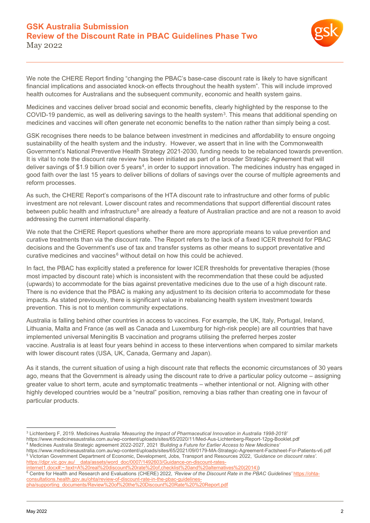

We note the CHERE Report finding "changing the PBAC's base-case discount rate is likely to have significant financial implications and associated knock-on effects throughout the health system". This will include improved health outcomes for Australians and the subsequent community, economic and health system gains.

Medicines and vaccines deliver broad social and economic benefits, clearly highlighted by the response to the COVID-19 pandemic, as well as delivering savings to the health system[3](#page-1-0). This means that additional spending on medicines and vaccines will often generate net economic benefits to the nation rather than simply being a cost.

GSK recognises there needs to be balance between investment in medicines and affordability to ensure ongoing sustainability of the health system and the industry. However, we assert that in line with the Commonwealth Government's National Preventive Health Strategy 2021-2030, funding needs to be rebalanced towards prevention. It is vital to note the discount rate review has been initiated as part of a broader Strategic Agreement that will deliver savings of \$1.9 billion over 5 years<sup>[4](#page-1-1)</sup>, in order to support innovation. The medicines industry has engaged in good faith over the last 15 years to deliver billions of dollars of savings over the course of multiple agreements and reform processes.

As such, the CHERE Report's comparisons of the HTA discount rate to infrastructure and other forms of public investment are not relevant. Lower discount rates and recommendations that support differential discount rates between public health and infrastructure<sup>[5](#page-1-2)</sup> are already a feature of Australian practice and are not a reason to avoid addressing the current international disparity.

We note that the CHERE Report questions whether there are more appropriate means to value prevention and curative treatments than via the discount rate. The Report refers to the lack of a fixed ICER threshold for PBAC decisions and the Government's use of tax and transfer systems as other means to support preventative and curative medicines and vaccines $6$  without detail on how this could be achieved.

In fact, the PBAC has explicitly stated a preference for lower ICER thresholds for preventative therapies (those most impacted by discount rate) which is inconsistent with the recommendation that these could be adjusted (upwards) to accommodate for the bias against preventative medicines due to the use of a high discount rate. There is no evidence that the PBAC is making any adjustment to its decision criteria to accommodate for these impacts. As stated previously, there is significant value in rebalancing health system investment towards prevention. This is not to mention community expectations.

Australia is falling behind other countries in access to vaccines. For example, the UK, Italy, Portugal, Ireland, Lithuania, Malta and France (as well as Canada and Luxemburg for high-risk people) are all countries that have implemented universal Meningitis B vaccination and programs utilising the preferred herpes zoster vaccine. Australia is at least four years behind in access to these interventions when compared to similar markets with lower discount rates (USA, UK, Canada, Germany and Japan).

As it stands, the current situation of using a high discount rate that reflects the economic circumstances of 30 years ago, means that the Government is already using the discount rate to drive a particular policy outcome – assigning greater value to short term, acute and symptomatic treatments – whether intentional or not. Aligning with other highly developed countries would be a "neutral" position, removing a bias rather than creating one in favour of particular products.

<span id="page-1-0"></span><sup>3</sup> Lichtenberg F, 2019. Medicines Australia *'Measuring the Impact of Pharmaceutical Innovation in Australia 1998-2018'* 

<https://www.medicinesaustralia.com.au/wp-content/uploads/sites/65/2020/11/Med-Aus-Lichtenberg-Report-12pg-Booklet.pdf>

<span id="page-1-1"></span><sup>4</sup> Medicines Australia Strategic agreement 2022-2027*,* 2021 *'Building a Future for Earlier Access to New Medicines'*

<span id="page-1-2"></span><https://www.medicinesaustralia.com.au/wp-content/uploads/sites/65/2021/09/0179-MA-Strategic-Agreement-Factsheet-For-Patients-v6.pdf> <sup>5</sup> Victorian Government Department of Economic, Development, Jobs, Transport and Resources 2022, *'Guidance on discount rates'.* https://djpr.vic.gov.au/\_\_data/assets/word\_doc/0007/1492603/Guidance-on-discount-rates-<br>internet1\_docx#~text=A%20real%20discount%20rate%20of\_checklist%20and%20alternatives%20(2014))

 $internet1$ .docx $\#$  ~ text=A%20real%20discount%20rate%20of,checklist%20and%

<span id="page-1-3"></span><sup>&</sup>lt;sup>6</sup> Centre for Health and Research and Evaluations (CHERE) 2022, 'Review of the Discount Rate in the PBAC Guidelines' [https://ohta](https://ohta-consultations.health.gov.au/ohta/review-of-discount-rate-in-the-pbac-guidelines-pha/supporting_documents/Review%20of%20the%20Discount%20Rate%20%20Report.pdf)[consultations.health.gov.au/ohta/review-of-discount-rate-in-the-pbac-guidelines-](https://ohta-consultations.health.gov.au/ohta/review-of-discount-rate-in-the-pbac-guidelines-pha/supporting_documents/Review%20of%20the%20Discount%20Rate%20%20Report.pdf)

[pha/supporting\\_documents/Review%20of%20the%20Discount%20Rate%20%20Report.pdf](https://ohta-consultations.health.gov.au/ohta/review-of-discount-rate-in-the-pbac-guidelines-pha/supporting_documents/Review%20of%20the%20Discount%20Rate%20%20Report.pdf)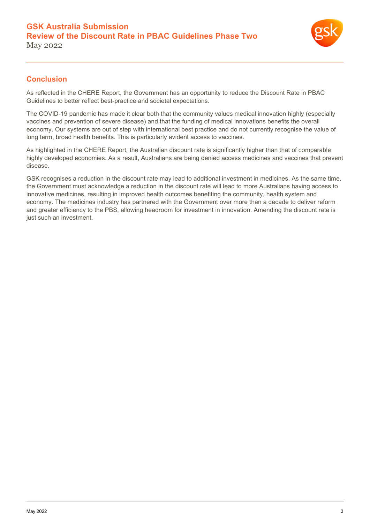

#### **Conclusion**

As reflected in the CHERE Report, the Government has an opportunity to reduce the Discount Rate in PBAC Guidelines to better reflect best-practice and societal expectations.

The COVID-19 pandemic has made it clear both that the community values medical innovation highly (especially vaccines and prevention of severe disease) and that the funding of medical innovations benefits the overall economy. Our systems are out of step with international best practice and do not currently recognise the value of long term, broad health benefits. This is particularly evident access to vaccines.

As highlighted in the CHERE Report, the Australian discount rate is significantly higher than that of comparable highly developed economies. As a result, Australians are being denied access medicines and vaccines that prevent disease.

GSK recognises a reduction in the discount rate may lead to additional investment in medicines. As the same time, the Government must acknowledge a reduction in the discount rate will lead to more Australians having access to innovative medicines, resulting in improved health outcomes benefiting the community, health system and economy. The medicines industry has partnered with the Government over more than a decade to deliver reform and greater efficiency to the PBS, allowing headroom for investment in innovation. Amending the discount rate is just such an investment.